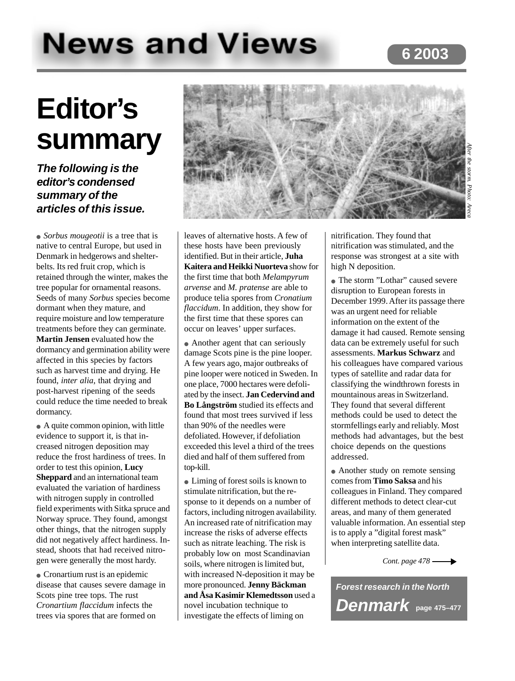# **6 2003**

# **News and Views**

# **Editor's summary**

# **The following is the editor's condensed summary of the articles of this issue.**

• *Sorbus mougeotii* is a tree that is native to central Europe, but used in Denmark in hedgerows and shelterbelts. Its red fruit crop, which is retained through the winter, makes the tree popular for ornamental reasons. Seeds of many *Sorbus* species become dormant when they mature, and require moisture and low temperature treatments before they can germinate. **Martin Jensen** evaluated how the dormancy and germination ability were affected in this species by factors such as harvest time and drying. He found, *inter alia*, that drying and post-harvest ripening of the seeds could reduce the time needed to break dormancy.

● A quite common opinion, with little evidence to support it, is that increased nitrogen deposition may reduce the frost hardiness of trees. In order to test this opinion, **Lucy Sheppard** and an international team evaluated the variation of hardiness with nitrogen supply in controlled field experiments with Sitka spruce and Norway spruce. They found, amongst other things, that the nitrogen supply did not negatively affect hardiness. Instead, shoots that had received nitrogen were generally the most hardy.

• Cronartium rust is an epidemic disease that causes severe damage in Scots pine tree tops. The rust *Cronartium flaccidum* infects the trees via spores that are formed on



leaves of alternative hosts. A few of these hosts have been previously identified. But in their article, **Juha Kaitera and Heikki Nuorteva** show for the first time that both *Melampyrum arvense* and *M. pratense* are able to produce telia spores from *Cronatium flaccidum*. In addition, they show for the first time that these spores can occur on leaves' upper surfaces.

• Another agent that can seriously damage Scots pine is the pine looper. A few years ago, major outbreaks of pine looper were noticed in Sweden. In one place, 7000 hectares were defoliated by the insect. **Jan Cedervind and Bo Långström** studied its effects and found that most trees survived if less than 90% of the needles were defoliated. However, if defoliation exceeded this level a third of the trees died and half of them suffered from top-kill.

• Liming of forest soils is known to stimulate nitrification, but the response to it depends on a number of factors, including nitrogen availability. An increased rate of nitrification may increase the risks of adverse effects such as nitrate leaching. The risk is probably low on most Scandinavian soils, where nitrogen is limited but, with increased N-deposition it may be more pronounced. **Jenny Bäckman and Åsa Kasimir Klemedtsson** used a novel incubation technique to investigate the effects of liming on

nitrification. They found that nitrification was stimulated, and the response was strongest at a site with high N deposition.

● The storm "Lothar" caused severe disruption to European forests in December 1999. After its passage there was an urgent need for reliable information on the extent of the damage it had caused. Remote sensing data can be extremely useful for such assessments. **Markus Schwarz** and his colleagues have compared various types of satellite and radar data for classifying the windthrown forests in mountainous areas in Switzerland. They found that several different methods could be used to detect the stormfellings early and reliably. Most methods had advantages, but the best choice depends on the questions addressed.

• Another study on remote sensing comes from **Timo Saksa** and his colleagues in Finland. They compared different methods to detect clear-cut areas, and many of them generated valuable information. An essential step is to apply a "digital forest mask" when interpreting satellite data.

*Cont. page 478*

**Forest research in the North Denmark page 475–477**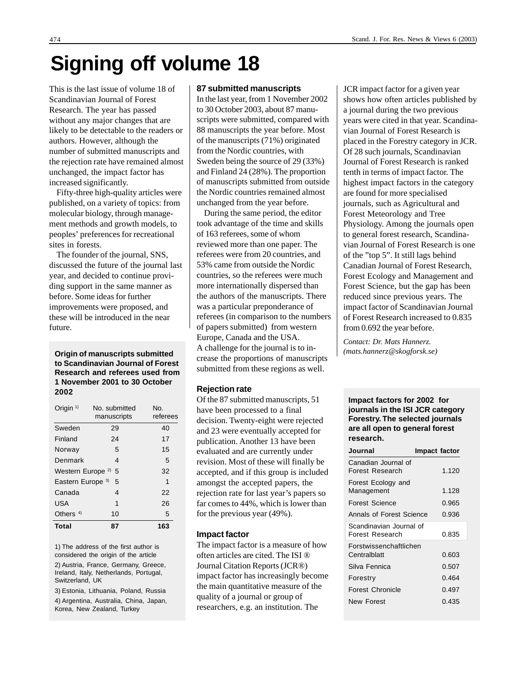# **Signing off volume 18**

This is the last issue of volume 18 of Scandinavian Journal of Forest Research. The year has passed without any major changes that are likely to be detectable to the readers or authors. However, although the number of submitted manuscripts and the rejection rate have remained almost unchanged, the impact factor has increased significantly.

Fifty-three high-quality articles were published, on a variety of topics: from molecular biology, through management methods and growth models, to peoples' preferences for recreational sites in forests.

The founder of the journal, SNS, discussed the future of the journal last year, and decided to continue providing support in the same manner as before. Some ideas for further improvements were proposed, and these will be introduced in the near future.

**to Scandinavian Journal of Forest Research and referees used from 1 November 2001 to 30 October 2002**

| Origin $1$                        | No. submitted<br>manuscripts | No.<br>referees |
|-----------------------------------|------------------------------|-----------------|
| Sweden                            | 29                           | 40              |
| Finland                           | 24                           | 17              |
| Norway                            | 5                            | 15              |
| Denmark                           | 4                            | 5               |
| Western Europe <sup>2)</sup><br>5 |                              | 32              |
| Eastern Europe <sup>3)</sup>      | 5                            | 1               |
| Canada                            | 4                            | 22              |
| <b>USA</b>                        | 1                            | 26              |
| Others $4$                        | 10                           | 5               |
| Total                             | 87                           | 163             |

1) The address of the first author is considered the origin of the article

2) Austria, France, Germany, Greece, Ireland, Italy, Netherlands, Portugal, Switzerland, UK

3) Estonia, Lithuania, Poland, Russia 4) Argentina, Australia, China, Japan, Korea, New Zealand, Turkey

#### **87 submitted manuscripts**

In the last year, from 1 November 2002 to 30 October 2003, about 87 manuscripts were submitted, compared with 88 manuscripts the year before. Most of the manuscripts (71%) originated from the Nordic countries, with Sweden being the source of 29 (33%) and Finland 24 (28%). The proportion of manuscripts submitted from outside the Nordic countries remained almost unchanged from the year before.

During the same period, the editor took advantage of the time and skills of 163 referees, some of whom reviewed more than one paper. The referees were from 20 countries, and 53% came from outside the Nordic countries, so the referees were much more internationally dispersed than the authors of the manuscripts. There was a particular preponderance of referees (in comparison to the numbers of papers submitted) from western Europe, Canada and the USA. A challenge for the journal is to increase the proportions of manuscripts submitted from these regions as well. **Origin of manuscripts submitted** *(mats.hannerz@skogforsk.se)*

### **Rejection rate**

Of the 87 submitted manuscripts, 51 have been processed to a final decision. Twenty-eight were rejected and 23 were eventually accepted for publication. Another 13 have been evaluated and are currently under revision. Most of these will finally be accepted, and if this group is included amongst the accepted papers, the rejection rate for last year's papers so far comes to 44%, which is lower than for the previous year (49%).

### **Impact factor**

The impact factor is a measure of how often articles are cited. The ISI ® Journal Citation Reports (JCR®) impact factor has increasingly become the main quantitative measure of the quality of a journal or group of researchers, e.g. an institution. The

JCR impact factor for a given year shows how often articles published by a journal during the two previous years were cited in that year. Scandinavian Journal of Forest Research is placed in the Forestry category in JCR. Of 28 such journals, Scandinavian Journal of Forest Research is ranked tenth in terms of impact factor. The highest impact factors in the category are found for more specialised journals, such as Agricultural and Forest Meteorology and Tree Physiology. Among the journals open to general forest research, Scandinavian Journal of Forest Research is one of the "top 5". It still lags behind Canadian Journal of Forest Research, Forest Ecology and Management and Forest Science, but the gap has been reduced since previous years. The impact factor of Scandinavian Journal of Forest Research increased to 0.835 from 0.692 the year before.

*Contact: Dr. Mats Hannerz.*

### **Impact factors for 2002 for journals in the ISI JCR category Forestry. The selected journals are all open to general forest research.**

| Journal                                    | Impact factor |
|--------------------------------------------|---------------|
| Canadian Journal of<br>Forest Research     | 1.120         |
| Forest Ecology and<br>Management           | 1.128         |
| Forest Science                             | 0.965         |
| Annals of Forest Science                   | 0.936         |
| Scandinavian Journal of<br>Forest Research | 0.835         |
| Forstwissenchaftlichen<br>Centralblatt     | 0.603         |
| Silva Fennica                              | 0.507         |
| Forestry                                   | 0.464         |
| <b>Forest Chronicle</b>                    | 0.497         |
| New Forest                                 | 0.435         |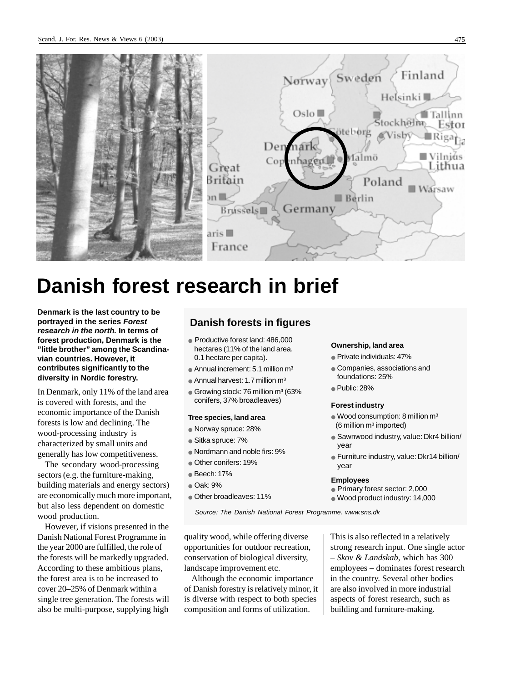

# **Danish forest research in brief**

**Denmark is the last country to be portrayed in the series Forest research in the north. In terms of forest production, Denmark is the "little brother" among the Scandinavian countries. However, it contributes significantly to the diversity in Nordic forestry.**

In Denmark, only 11% of the land area is covered with forests, and the economic importance of the Danish forests is low and declining. The wood-processing industry is characterized by small units and generally has low competitiveness.

The secondary wood-processing sectors (e.g. the furniture-making, building materials and energy sectors) are economically much more important, but also less dependent on domestic wood production.

However, if visions presented in the Danish National Forest Programme in the year 2000 are fulfilled, the role of the forests will be markedly upgraded. According to these ambitious plans, the forest area is to be increased to cover 20–25% of Denmark within a single tree generation. The forests will also be multi-purpose, supplying high

## **Danish forests in figures**

- Productive forest land: 486,000 hectares (11% of the land area. 0.1 hectare per capita).
- $\bullet$  Annual increment: 5.1 million m<sup>3</sup>
- Annual harvest: 1.7 million m<sup>3</sup>
- $\bullet$  Growing stock: 76 million m<sup>3</sup> (63%) conifers, 37% broadleaves)

#### **Tree species, land area**

- Norway spruce: 28%
- Sitka spruce: 7%
- Nordmann and noble firs: 9%
- Other conifers: 19%
- Beech: 17%
- Oak: 9%
- Other broadleaves: 11%

#### **Ownership, land area**

- Private individuals: 47%
- Companies, associations and foundations: 25%
- Public: 28%

#### **Forest industry**

- $\bullet$  Wood consumption: 8 million  $m^3$ (6 million m<sup>3</sup> imported)
- Sawnwood industry, value: Dkr4 billion/ year
- Furniture industry, value: Dkr14 billion/ year

#### **Employees**

- Primary forest sector: 2,000
- Wood product industry: 14,000

Source: The Danish National Forest Programme. www.sns.dk

quality wood, while offering diverse opportunities for outdoor recreation, conservation of biological diversity, landscape improvement etc.

Although the economic importance of Danish forestry is relatively minor, it is diverse with respect to both species composition and forms of utilization.

This is also reflected in a relatively strong research input. One single actor – *Skov & Landskab*, which has 300 employees – dominates forest research in the country. Several other bodies are also involved in more industrial aspects of forest research, such as building and furniture-making.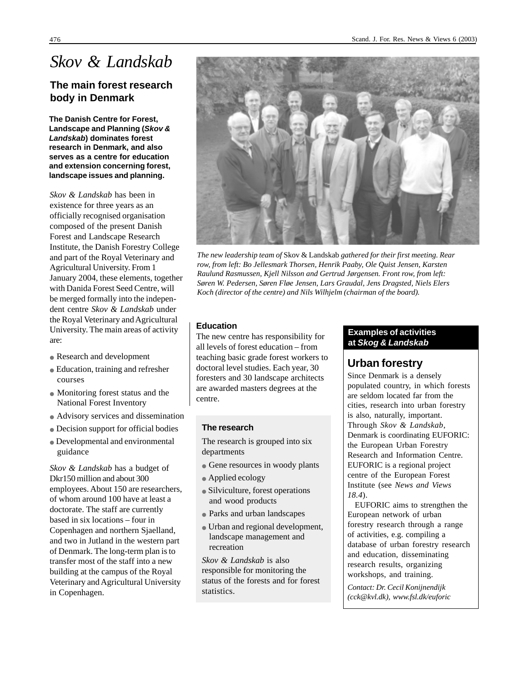# *Skov & Landskab*

# **The main forest research body in Denmark**

**The Danish Centre for Forest, Landscape and Planning (Skov & Landskab) dominates forest research in Denmark, and also serves as a centre for education and extension concerning forest, landscape issues and planning.**

*Skov & Landskab* has been in existence for three years as an officially recognised organisation composed of the present Danish Forest and Landscape Research Institute, the Danish Forestry College and part of the Royal Veterinary and Agricultural University. From 1 January 2004, these elements, together with Danida Forest Seed Centre, will be merged formally into the independent centre *Skov & Landskab* under the Royal Veterinary and Agricultural University. The main areas of activity are:

- Research and development
- Education, training and refresher courses
- Monitoring forest status and the National Forest Inventory
- Advisory services and dissemination
- Decision support for official bodies
- Developmental and environmental guidance

*Skov & Landskab* has a budget of Dkr150 million and about 300 employees. About 150 are researchers, of whom around 100 have at least a doctorate. The staff are currently based in six locations – four in Copenhagen and northern Sjaelland, and two in Jutland in the western part of Denmark. The long-term plan is to transfer most of the staff into a new building at the campus of the Royal Veterinary and Agricultural University in Copenhagen.



*The new leadership team of* Skov & Landskab *gathered for their first meeting. Rear row, from left: Bo Jellesmark Thorsen, Henrik Paaby, Ole Quist Jensen, Karsten Raulund Rasmussen, Kjell Nilsson and Gertrud Jørgensen. Front row, from left: Søren W. Pedersen, Søren Fløe Jensen, Lars Graudal, Jens Dragsted, Niels Elers Koch (director of the centre) and Nils Wilhjelm (chairman of the board).*

### **Education**

The new centre has responsibility for all levels of forest education – from teaching basic grade forest workers to doctoral level studies. Each year, 30 foresters and 30 landscape architects are awarded masters degrees at the centre.

### **The research**

The research is grouped into six departments

- Gene resources in woody plants
- Applied ecology
- Silviculture, forest operations and wood products
- Parks and urban landscapes
- Urban and regional development, landscape management and recreation

*Skov & Landskab* is also responsible for monitoring the status of the forests and for forest statistics.

### **Examples of activities at Skog & Landskab**

# **Urban forestry**

Since Denmark is a densely populated country, in which forests are seldom located far from the cities, research into urban forestry is also, naturally, important. Through *Skov & Landskab*, Denmark is coordinating EUFORIC: the European Urban Forestry Research and Information Centre. EUFORIC is a regional project centre of the European Forest Institute (see *News and Views 18.4*).

EUFORIC aims to strengthen the European network of urban forestry research through a range of activities, e.g. compiling a database of urban forestry research and education, disseminating research results, organizing workshops, and training.

*Contact: Dr. Cecil Konijnendijk (cck@kvl.dk), www.fsl.dk/euforic*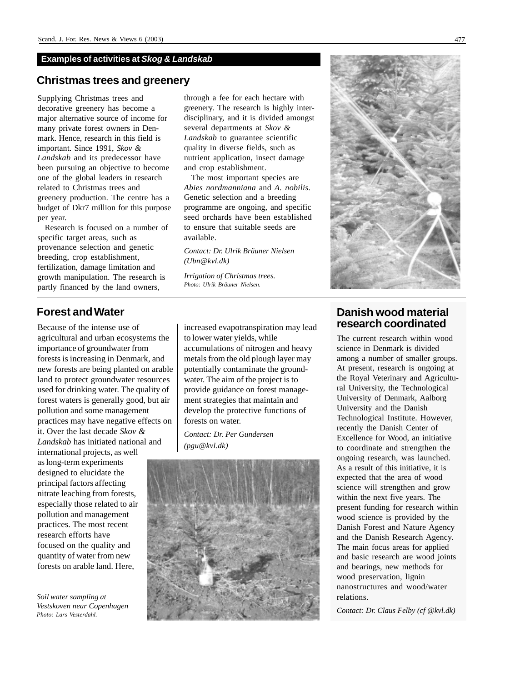### **Examples of activities at Skog & Landskab**

### **Christmas trees and greenery**

Supplying Christmas trees and decorative greenery has become a major alternative source of income for many private forest owners in Denmark. Hence, research in this field is important. Since 1991, *Skov & Landskab* and its predecessor have been pursuing an objective to become one of the global leaders in research related to Christmas trees and greenery production. The centre has a budget of Dkr7 million for this purpose per year.

Research is focused on a number of specific target areas, such as provenance selection and genetic breeding, crop establishment, fertilization, damage limitation and growth manipulation. The research is partly financed by the land owners,

# **Forest and Water**

Because of the intense use of agricultural and urban ecosystems the importance of groundwater from forests is increasing in Denmark, and new forests are being planted on arable land to protect groundwater resources used for drinking water. The quality of forest waters is generally good, but air pollution and some management practices may have negative effects on it. Over the last decade *Skov & Landskab* has initiated national and international projects, as well

as long-term experiments designed to elucidate the principal factors affecting nitrate leaching from forests, especially those related to air pollution and management practices. The most recent research efforts have focused on the quality and quantity of water from new forests on arable land. Here,

*Soil water sampling at Vestskoven near Copenhagen Photo: Lars Vesterdahl.*

through a fee for each hectare with greenery. The research is highly interdisciplinary, and it is divided amongst several departments at *Skov & Landskab* to guarantee scientific quality in diverse fields, such as nutrient application, insect damage and crop establishment.

The most important species are *Abies nordmanniana* and *A. nobilis*. Genetic selection and a breeding programme are ongoing, and specific seed orchards have been established to ensure that suitable seeds are available.

*Contact: Dr. Ulrik Bräuner Nielsen (Ubn@kvl.dk)*

*Irrigation of Christmas trees. Photo: Ulrik Bräuner Nielsen.*

increased evapotranspiration may lead to lower water yields, while accumulations of nitrogen and heavy metals from the old plough layer may potentially contaminate the groundwater. The aim of the project is to provide guidance on forest management strategies that maintain and develop the protective functions of forests on water.

*Contact: Dr. Per Gundersen (pgu@kvl.dk)*





# **Danish wood material research coordinated**

The current research within wood science in Denmark is divided among a number of smaller groups. At present, research is ongoing at the Royal Veterinary and Agricultural University, the Technological University of Denmark, Aalborg University and the Danish Technological Institute. However, recently the Danish Center of Excellence for Wood, an initiative to coordinate and strengthen the ongoing research, was launched. As a result of this initiative, it is expected that the area of wood science will strengthen and grow within the next five years. The present funding for research within wood science is provided by the Danish Forest and Nature Agency and the Danish Research Agency. The main focus areas for applied and basic research are wood joints and bearings, new methods for wood preservation, lignin nanostructures and wood/water relations.

*Contact: Dr. Claus Felby (cf @kvl.dk)*